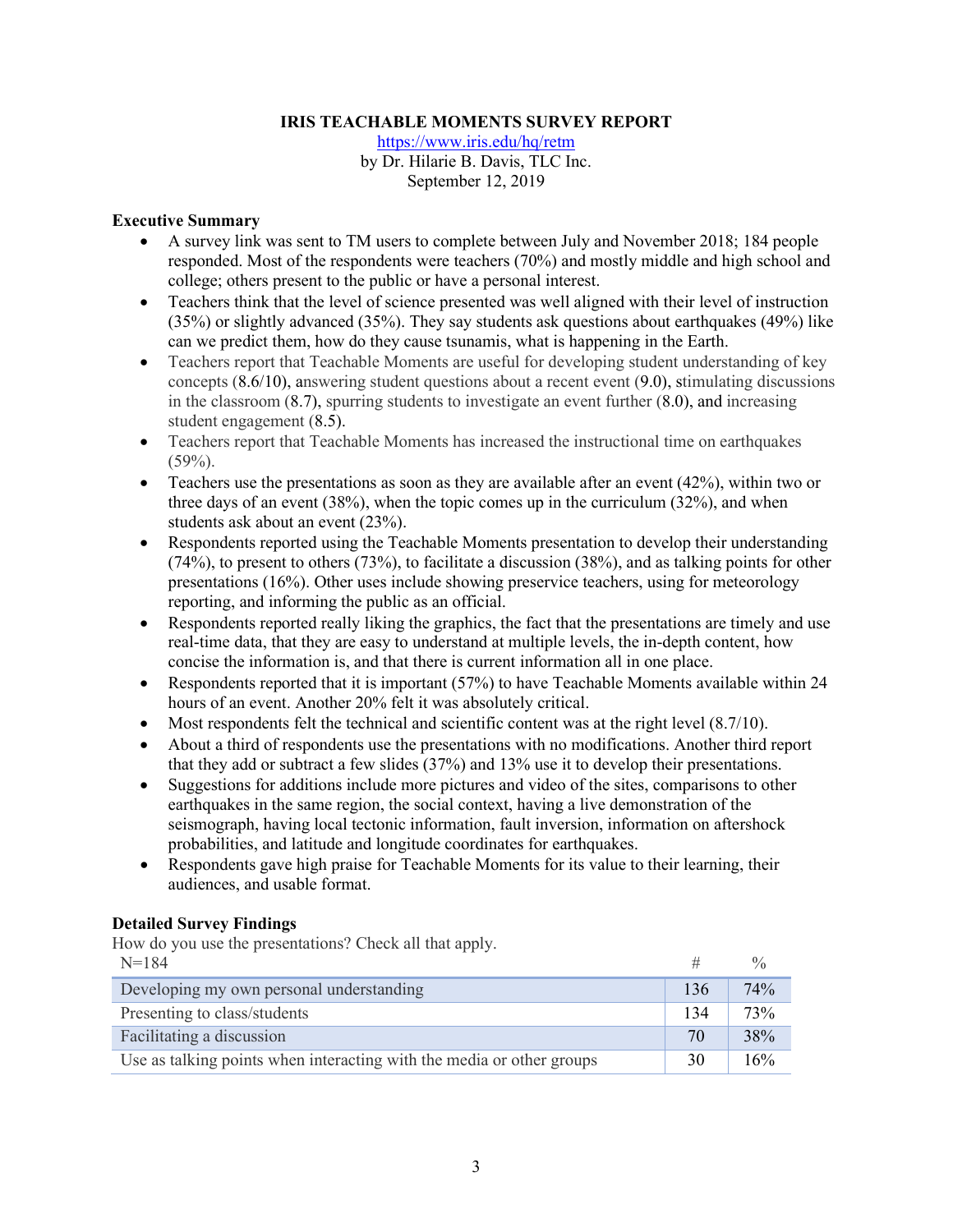### **IRIS TEACHABLE MOMENTS SURVEY REPORT**

https://www.iris.edu/hq/retm by Dr. Hilarie B. Davis, TLC Inc. September 12, 2019

#### **Executive Summary**

- A survey link was sent to TM users to complete between July and November 2018; 184 people responded. Most of the respondents were teachers (70%) and mostly middle and high school and college; others present to the public or have a personal interest.
- Teachers think that the level of science presented was well aligned with their level of instruction (35%) or slightly advanced (35%). They say students ask questions about earthquakes (49%) like can we predict them, how do they cause tsunamis, what is happening in the Earth.
- Teachers report that Teachable Moments are useful for developing student understanding of key concepts (8.6/10), answering student questions about a recent event (9.0), stimulating discussions in the classroom (8.7), spurring students to investigate an event further (8.0), and increasing student engagement (8.5).
- Teachers report that Teachable Moments has increased the instructional time on earthquakes  $(59\%).$
- Teachers use the presentations as soon as they are available after an event  $(42%)$ , within two or three days of an event (38%), when the topic comes up in the curriculum (32%), and when students ask about an event (23%).
- Respondents reported using the Teachable Moments presentation to develop their understanding (74%), to present to others (73%), to facilitate a discussion (38%), and as talking points for other presentations (16%). Other uses include showing preservice teachers, using for meteorology reporting, and informing the public as an official.
- Respondents reported really liking the graphics, the fact that the presentations are timely and use real-time data, that they are easy to understand at multiple levels, the in-depth content, how concise the information is, and that there is current information all in one place.
- Respondents reported that it is important (57%) to have Teachable Moments available within 24 hours of an event. Another 20% felt it was absolutely critical.
- Most respondents felt the technical and scientific content was at the right level (8.7/10).
- About a third of respondents use the presentations with no modifications. Another third report that they add or subtract a few slides (37%) and 13% use it to develop their presentations.
- Suggestions for additions include more pictures and video of the sites, comparisons to other earthquakes in the same region, the social context, having a live demonstration of the seismograph, having local tectonic information, fault inversion, information on aftershock probabilities, and latitude and longitude coordinates for earthquakes.
- Respondents gave high praise for Teachable Moments for its value to their learning, their audiences, and usable format.

### **Detailed Survey Findings**

How do you use the presentations? Check all that apply.

| $N=184$                                                               |     |     |
|-----------------------------------------------------------------------|-----|-----|
| Developing my own personal understanding                              | 136 | 74% |
| Presenting to class/students                                          | 134 | 73% |
| Facilitating a discussion                                             | 70  | 38% |
| Use as talking points when interacting with the media or other groups | 30  | 16% |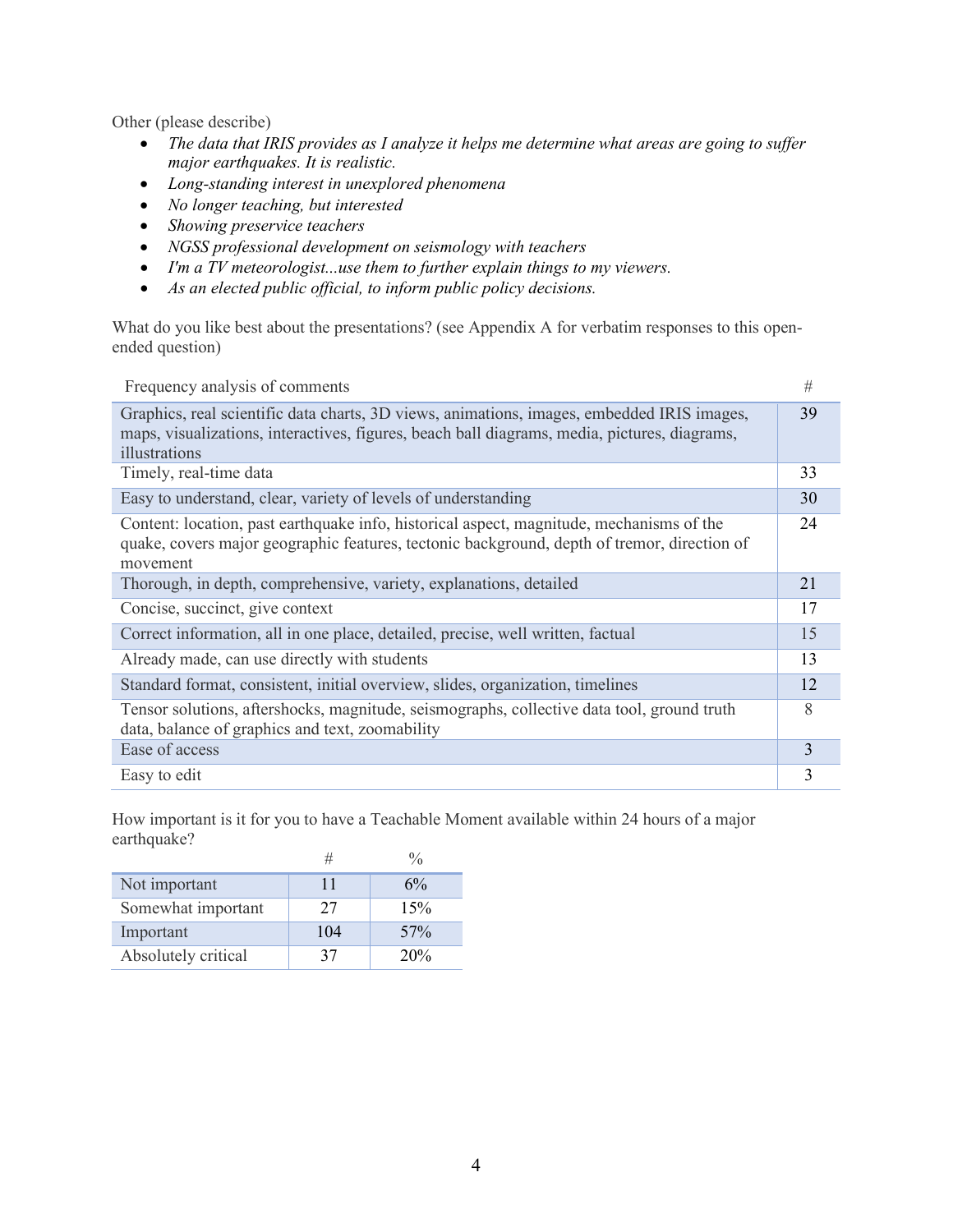Other (please describe)

- *The data that IRIS provides as I analyze it helps me determine what areas are going to suffer major earthquakes. It is realistic.*
- *Long-standing interest in unexplored phenomena*
- *No longer teaching, but interested*
- *Showing preservice teachers*
- *NGSS professional development on seismology with teachers*
- *I'm a TV meteorologist...use them to further explain things to my viewers.*
- *As an elected public official, to inform public policy decisions.*

What do you like best about the presentations? (see Appendix A for verbatim responses to this openended question)

| Frequency analysis of comments                                                                                                                                                                              | #  |
|-------------------------------------------------------------------------------------------------------------------------------------------------------------------------------------------------------------|----|
| Graphics, real scientific data charts, 3D views, animations, images, embedded IRIS images,<br>maps, visualizations, interactives, figures, beach ball diagrams, media, pictures, diagrams,<br>illustrations | 39 |
| Timely, real-time data                                                                                                                                                                                      | 33 |
| Easy to understand, clear, variety of levels of understanding                                                                                                                                               | 30 |
| Content: location, past earthquake info, historical aspect, magnitude, mechanisms of the<br>quake, covers major geographic features, tectonic background, depth of tremor, direction of<br>movement         | 24 |
| Thorough, in depth, comprehensive, variety, explanations, detailed                                                                                                                                          | 21 |
| Concise, succinct, give context                                                                                                                                                                             | 17 |
| Correct information, all in one place, detailed, precise, well written, factual                                                                                                                             | 15 |
| Already made, can use directly with students                                                                                                                                                                | 13 |
| Standard format, consistent, initial overview, slides, organization, timelines                                                                                                                              | 12 |
| Tensor solutions, aftershocks, magnitude, seismographs, collective data tool, ground truth<br>data, balance of graphics and text, zoomability                                                               | 8  |
| Ease of access                                                                                                                                                                                              | 3  |
| Easy to edit                                                                                                                                                                                                | 3  |

How important is it for you to have a Teachable Moment available within 24 hours of a major earthquake?

| Not important       | 11  | 6%  |
|---------------------|-----|-----|
| Somewhat important  | 27  | 15% |
| Important           | 104 | 57% |
| Absolutely critical | 37  | 20% |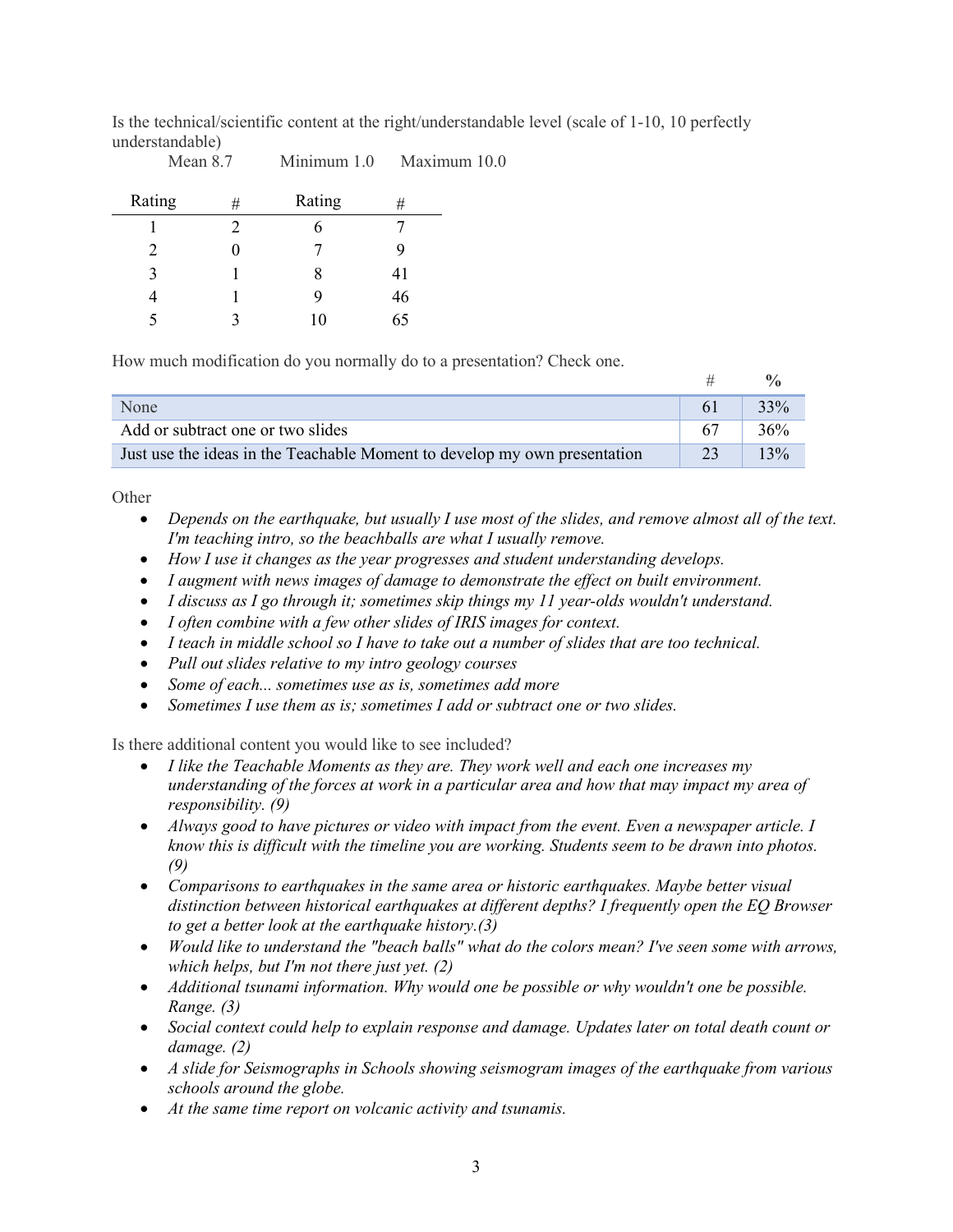Is the technical/scientific content at the right/understandable level (scale of 1-10, 10 perfectly understandable)

| Rating | # | Rating | #  |
|--------|---|--------|----|
|        | 2 |        |    |
| 2      |   |        | Ŷ  |
| 3      |   | 8      | 41 |
|        |   | 9      | 46 |
| 5      | ว | 10     | 65 |

How much modification do you normally do to a presentation? Check one.

Mean 8.7 Minimum 1.0 Maximum 10.0

| None                                                                      |    | 33% |
|---------------------------------------------------------------------------|----|-----|
| Add or subtract one or two slides                                         |    | 36% |
| Just use the ideas in the Teachable Moment to develop my own presentation | 23 | 3%  |

**Other** 

- Depends on the earthquake, but usually I use most of the slides, and remove almost all of the text. *I'm teaching intro, so the beachballs are what I usually remove.*
- *How I use it changes as the year progresses and student understanding develops.*
- *I augment with news images of damage to demonstrate the effect on built environment.*
- *I discuss as I go through it; sometimes skip things my 11 year-olds wouldn't understand.*
- *I often combine with a few other slides of IRIS images for context.*
- *I teach in middle school so I have to take out a number of slides that are too technical.*
- *Pull out slides relative to my intro geology courses*
- *Some of each... sometimes use as is, sometimes add more*
- *Sometimes I use them as is; sometimes I add or subtract one or two slides.*

Is there additional content you would like to see included?

- *I like the Teachable Moments as they are. They work well and each one increases my understanding of the forces at work in a particular area and how that may impact my area of responsibility. (9)*
- *Always good to have pictures or video with impact from the event. Even a newspaper article. I know this is difficult with the timeline you are working. Students seem to be drawn into photos. (9)*
- *Comparisons to earthquakes in the same area or historic earthquakes. Maybe better visual distinction between historical earthquakes at different depths? I frequently open the EQ Browser to get a better look at the earthquake history.(3)*
- *Would like to understand the "beach balls" what do the colors mean? I've seen some with arrows, which helps, but I'm not there just yet. (2)*
- *Additional tsunami information. Why would one be possible or why wouldn't one be possible. Range. (3)*
- *Social context could help to explain response and damage. Updates later on total death count or damage. (2)*
- *A slide for Seismographs in Schools showing seismogram images of the earthquake from various schools around the globe.*
- *At the same time report on volcanic activity and tsunamis.*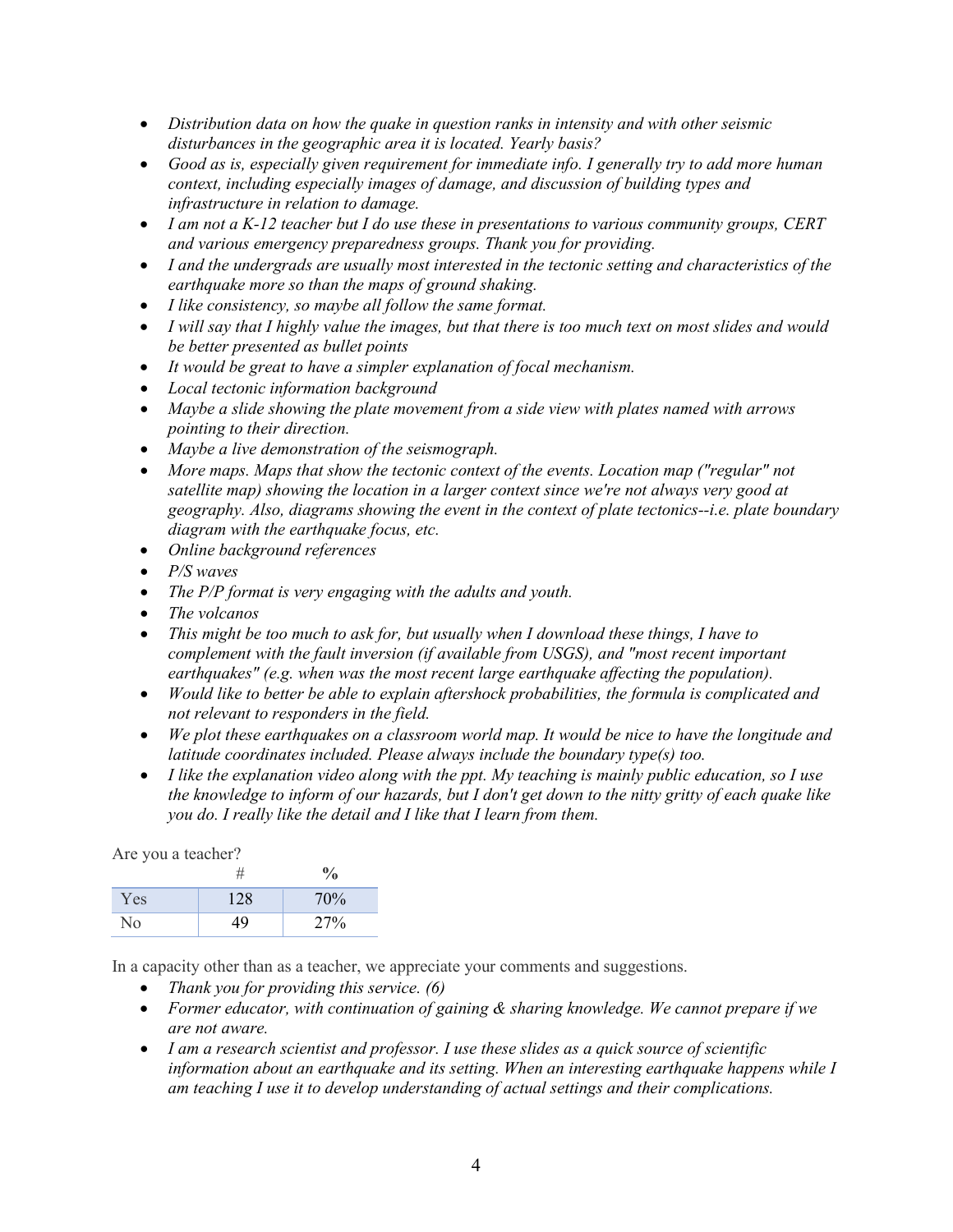- *Distribution data on how the quake in question ranks in intensity and with other seismic disturbances in the geographic area it is located. Yearly basis?*
- *Good as is, especially given requirement for immediate info. I generally try to add more human context, including especially images of damage, and discussion of building types and infrastructure in relation to damage.*
- *I am not a K-12 teacher but I do use these in presentations to various community groups, CERT and various emergency preparedness groups. Thank you for providing.*
- *I and the undergrads are usually most interested in the tectonic setting and characteristics of the earthquake more so than the maps of ground shaking.*
- *I like consistency, so maybe all follow the same format.*
- *I will say that I highly value the images, but that there is too much text on most slides and would be better presented as bullet points*
- *It would be great to have a simpler explanation of focal mechanism.*
- *Local tectonic information background*
- *Maybe a slide showing the plate movement from a side view with plates named with arrows pointing to their direction.*
- *Maybe a live demonstration of the seismograph.*
- More maps. Maps that show the tectonic context of the events. Location map ("regular" not *satellite map) showing the location in a larger context since we're not always very good at geography. Also, diagrams showing the event in the context of plate tectonics--i.e. plate boundary diagram with the earthquake focus, etc.*
- *Online background references*
- *P/S waves*
- *The P/P format is very engaging with the adults and youth.*
- *The volcanos*
- *This might be too much to ask for, but usually when I download these things, I have to complement with the fault inversion (if available from USGS), and "most recent important earthquakes" (e.g. when was the most recent large earthquake affecting the population).*
- *Would like to better be able to explain aftershock probabilities, the formula is complicated and not relevant to responders in the field.*
- *We plot these earthquakes on a classroom world map. It would be nice to have the longitude and latitude coordinates included. Please always include the boundary type(s) too.*
- *I like the explanation video along with the ppt. My teaching is mainly public education, so I use the knowledge to inform of our hazards, but I don't get down to the nitty gritty of each quake like you do. I really like the detail and I like that I learn from them.*

Are you a teacher?

|     |     | $\frac{v}{0}$ |
|-----|-----|---------------|
| Yes | 128 | 70%           |
| No  | 19  | 27%           |

In a capacity other than as a teacher, we appreciate your comments and suggestions.

- *Thank you for providing this service. (6)*
- *Former educator, with continuation of gaining & sharing knowledge. We cannot prepare if we are not aware.*
- *I am a research scientist and professor. I use these slides as a quick source of scientific information about an earthquake and its setting. When an interesting earthquake happens while I am teaching I use it to develop understanding of actual settings and their complications.*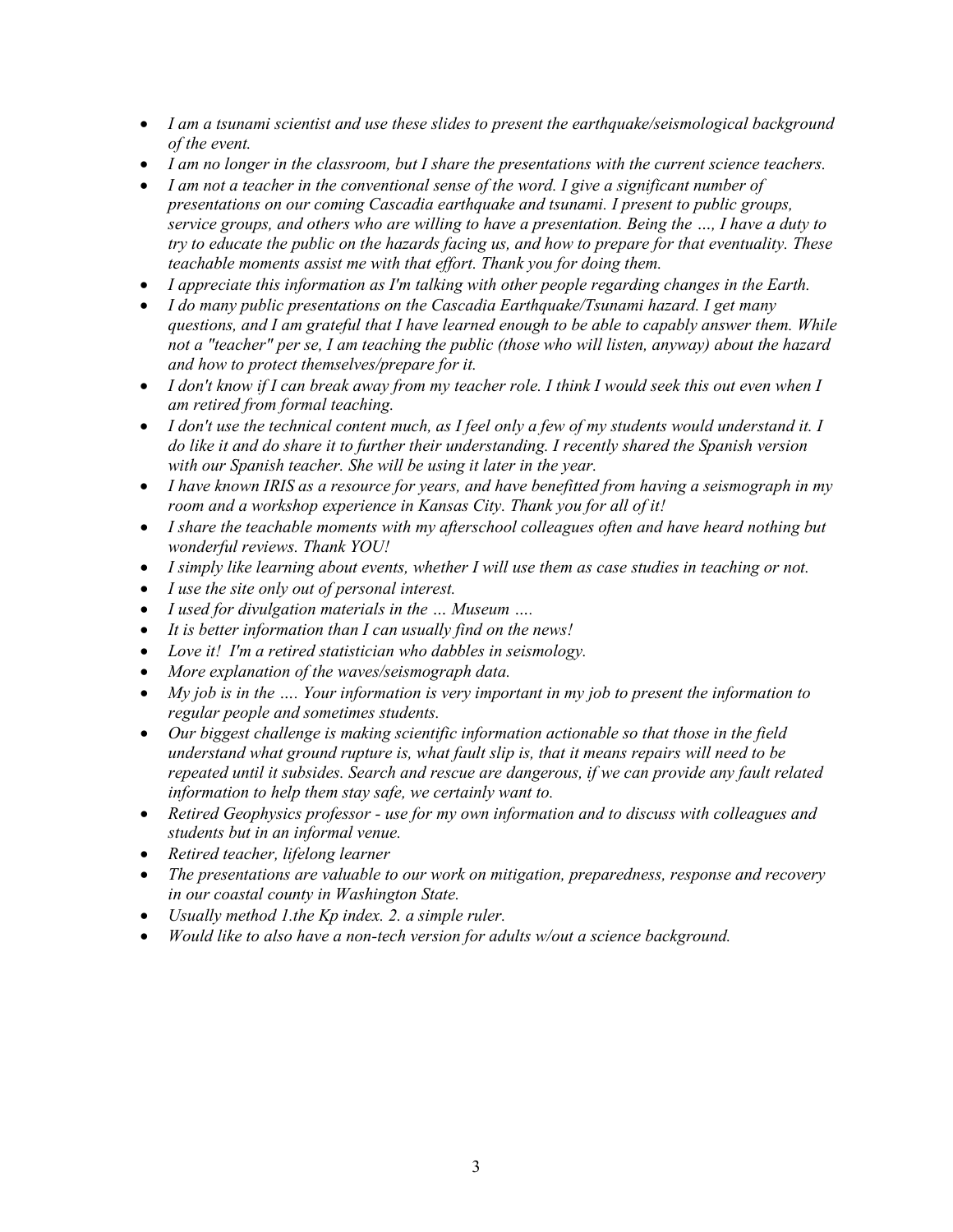- *I am a tsunami scientist and use these slides to present the earthquake/seismological background of the event.*
- *I am no longer in the classroom, but I share the presentations with the current science teachers.*
- *I am not a teacher in the conventional sense of the word. I give a significant number of presentations on our coming Cascadia earthquake and tsunami. I present to public groups, service groups, and others who are willing to have a presentation. Being the …, I have a duty to try to educate the public on the hazards facing us, and how to prepare for that eventuality. These teachable moments assist me with that effort. Thank you for doing them.*
- *I appreciate this information as I'm talking with other people regarding changes in the Earth.*
- *I do many public presentations on the Cascadia Earthquake/Tsunami hazard. I get many questions, and I am grateful that I have learned enough to be able to capably answer them. While not a "teacher" per se, I am teaching the public (those who will listen, anyway) about the hazard and how to protect themselves/prepare for it.*
- *I don't know if I can break away from my teacher role. I think I would seek this out even when I am retired from formal teaching.*
- *I don't use the technical content much, as I feel only a few of my students would understand it. I do like it and do share it to further their understanding. I recently shared the Spanish version with our Spanish teacher. She will be using it later in the year.*
- *I have known IRIS as a resource for years, and have benefitted from having a seismograph in my room and a workshop experience in Kansas City. Thank you for all of it!*
- *I share the teachable moments with my afterschool colleagues often and have heard nothing but wonderful reviews. Thank YOU!*
- *I simply like learning about events, whether I will use them as case studies in teaching or not.*
- *I use the site only out of personal interest.*
- *I used for divulgation materials in the … Museum ….*
- *It is better information than I can usually find on the news!*
- *Love it! I'm a retired statistician who dabbles in seismology.*
- *More explanation of the waves/seismograph data.*
- *My job is in the …. Your information is very important in my job to present the information to regular people and sometimes students.*
- *Our biggest challenge is making scientific information actionable so that those in the field understand what ground rupture is, what fault slip is, that it means repairs will need to be repeated until it subsides. Search and rescue are dangerous, if we can provide any fault related information to help them stay safe, we certainly want to.*
- *Retired Geophysics professor - use for my own information and to discuss with colleagues and students but in an informal venue.*
- *Retired teacher, lifelong learner*
- *The presentations are valuable to our work on mitigation, preparedness, response and recovery in our coastal county in Washington State.*
- *Usually method 1.the Kp index. 2. a simple ruler.*
- *Would like to also have a non-tech version for adults w/out a science background.*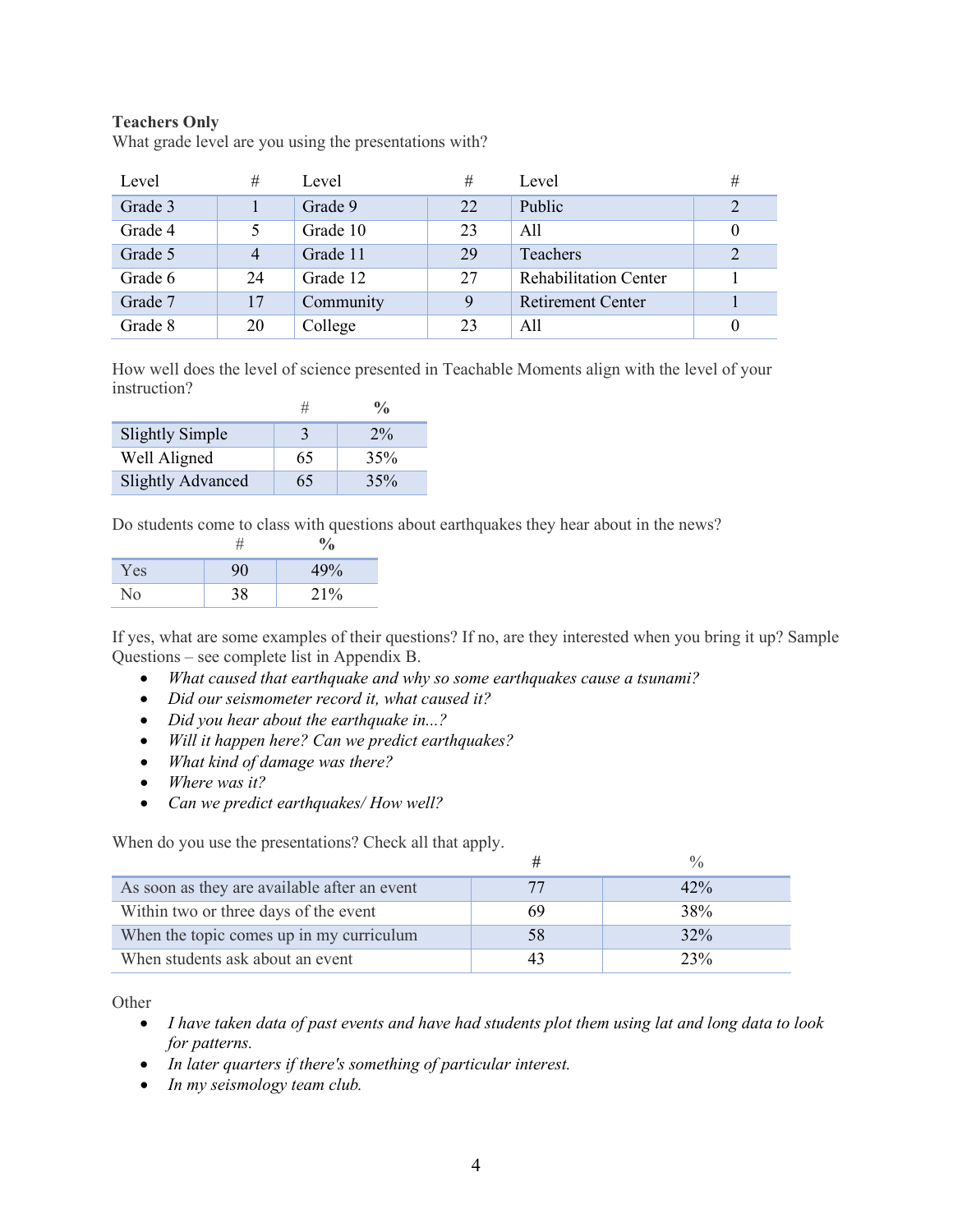## **Teachers Only**

What grade level are you using the presentations with?

| Level   | #  | Level     | #  | Level                        | # |
|---------|----|-----------|----|------------------------------|---|
| Grade 3 |    | Grade 9   | 22 | Public                       | 2 |
| Grade 4 | 5  | Grade 10  | 23 | All                          |   |
| Grade 5 | 4  | Grade 11  | 29 | Teachers                     | 2 |
| Grade 6 | 24 | Grade 12  | 27 | <b>Rehabilitation Center</b> |   |
| Grade 7 | 17 | Community | 9  | <b>Retirement Center</b>     |   |
| Grade 8 | 20 | College   | 23 | A11                          |   |

How well does the level of science presented in Teachable Moments align with the level of your instruction?

| <b>Slightly Simple</b>   |    | $2\%$ |
|--------------------------|----|-------|
| Well Aligned             | 65 | 35%   |
| <b>Slightly Advanced</b> | 65 | 35%   |

Do students come to class with questions about earthquakes they hear about in the news?

| Yes |    | 49% |
|-----|----|-----|
|     | 38 | 21% |

If yes, what are some examples of their questions? If no, are they interested when you bring it up? Sample Questions – see complete list in Appendix B.

- *What caused that earthquake and why so some earthquakes cause a tsunami?*
- *Did our seismometer record it, what caused it?*
- *Did you hear about the earthquake in...?*
- *Will it happen here? Can we predict earthquakes?*
- *What kind of damage was there?*
- *Where was it?*
- *Can we predict earthquakes/ How well?*

When do you use the presentations? Check all that apply.

| As soon as they are available after an event | 77 | 42% |
|----------------------------------------------|----|-----|
| Within two or three days of the event        | 69 | 38% |
| When the topic comes up in my curriculum     | 58 | 32% |
| When students ask about an event             |    | 23% |

**Other** 

- *I have taken data of past events and have had students plot them using lat and long data to look for patterns.*
- *In later quarters if there's something of particular interest.*
- *In my seismology team club.*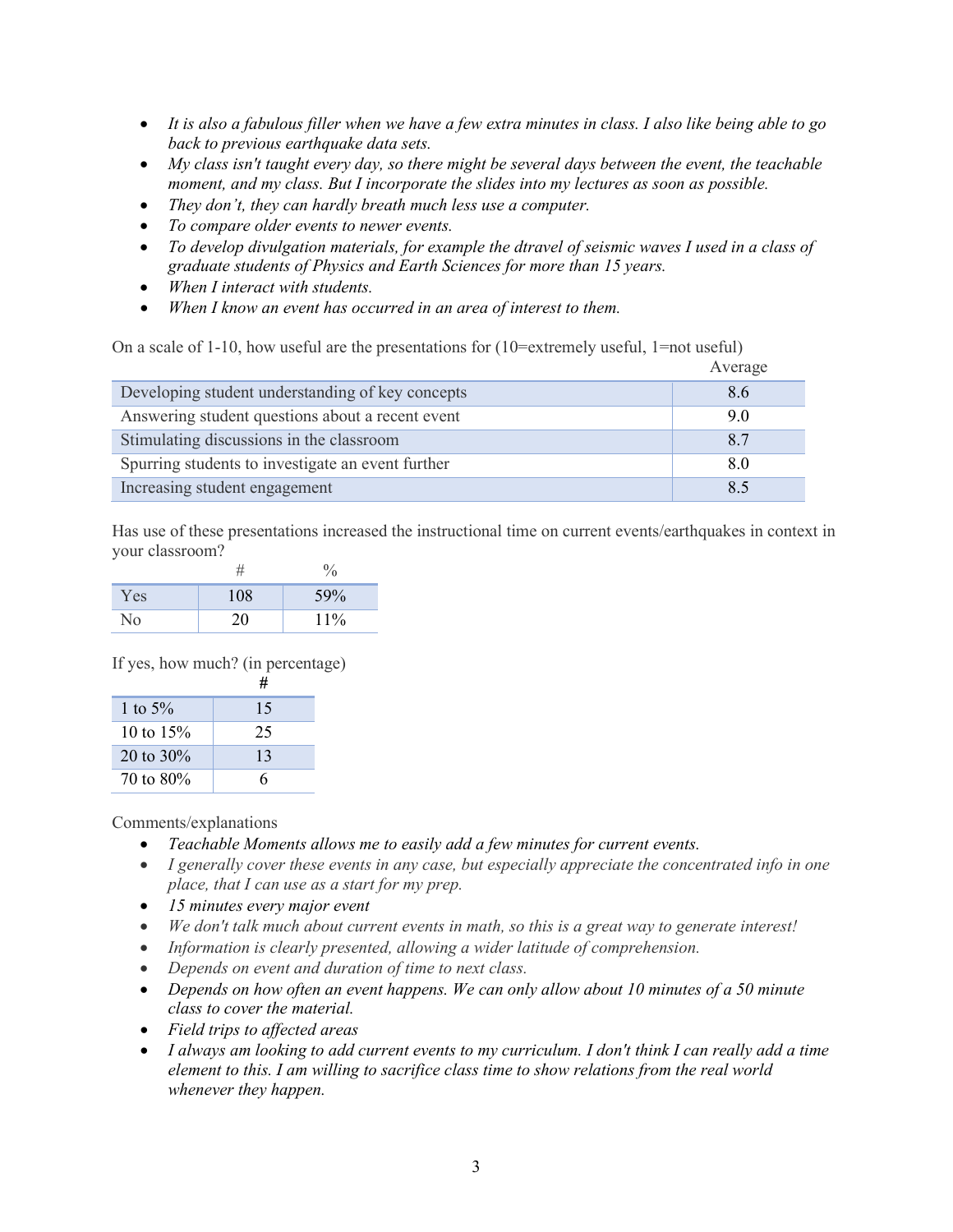- *It is also a fabulous filler when we have a few extra minutes in class. I also like being able to go back to previous earthquake data sets.*
- *My class isn't taught every day, so there might be several days between the event, the teachable moment, and my class. But I incorporate the slides into my lectures as soon as possible.*
- *They don't, they can hardly breath much less use a computer.*
- *To compare older events to newer events.*
- *To develop divulgation materials, for example the dtravel of seismic waves I used in a class of graduate students of Physics and Earth Sciences for more than 15 years.*
- *When I interact with students.*
- *When I know an event has occurred in an area of interest to them.*

On a scale of 1-10, how useful are the presentations for  $(10=$ extremely useful, 1=not useful)

|                                                   | Average |
|---------------------------------------------------|---------|
| Developing student understanding of key concepts  | 8.6     |
| Answering student questions about a recent event  | 9.0     |
| Stimulating discussions in the classroom          | 8.7     |
| Spurring students to investigate an event further | 8.0     |
| Increasing student engagement                     | 8.5     |

Has use of these presentations increased the instructional time on current events/earthquakes in context in your classroom?

| Yes        | 108 | 59% |
|------------|-----|-----|
| $\sqrt{0}$ | 20  | 11% |

If yes, how much? (in percentage)

|              | #  |
|--------------|----|
| 1 to $5%$    | 15 |
| 10 to $15%$  | 25 |
| 20 to $30\%$ | 13 |
| 70 to 80%    | 6  |

Comments/explanations

- *Teachable Moments allows me to easily add a few minutes for current events.*
- *I generally cover these events in any case, but especially appreciate the concentrated info in one place, that I can use as a start for my prep.*
- *15 minutes every major event*
- *We don't talk much about current events in math, so this is a great way to generate interest!*
- *Information is clearly presented, allowing a wider latitude of comprehension.*
- *Depends on event and duration of time to next class.*
- *Depends on how often an event happens. We can only allow about 10 minutes of a 50 minute class to cover the material.*
- *Field trips to affected areas*
- *I always am looking to add current events to my curriculum. I don't think I can really add a time element to this. I am willing to sacrifice class time to show relations from the real world whenever they happen.*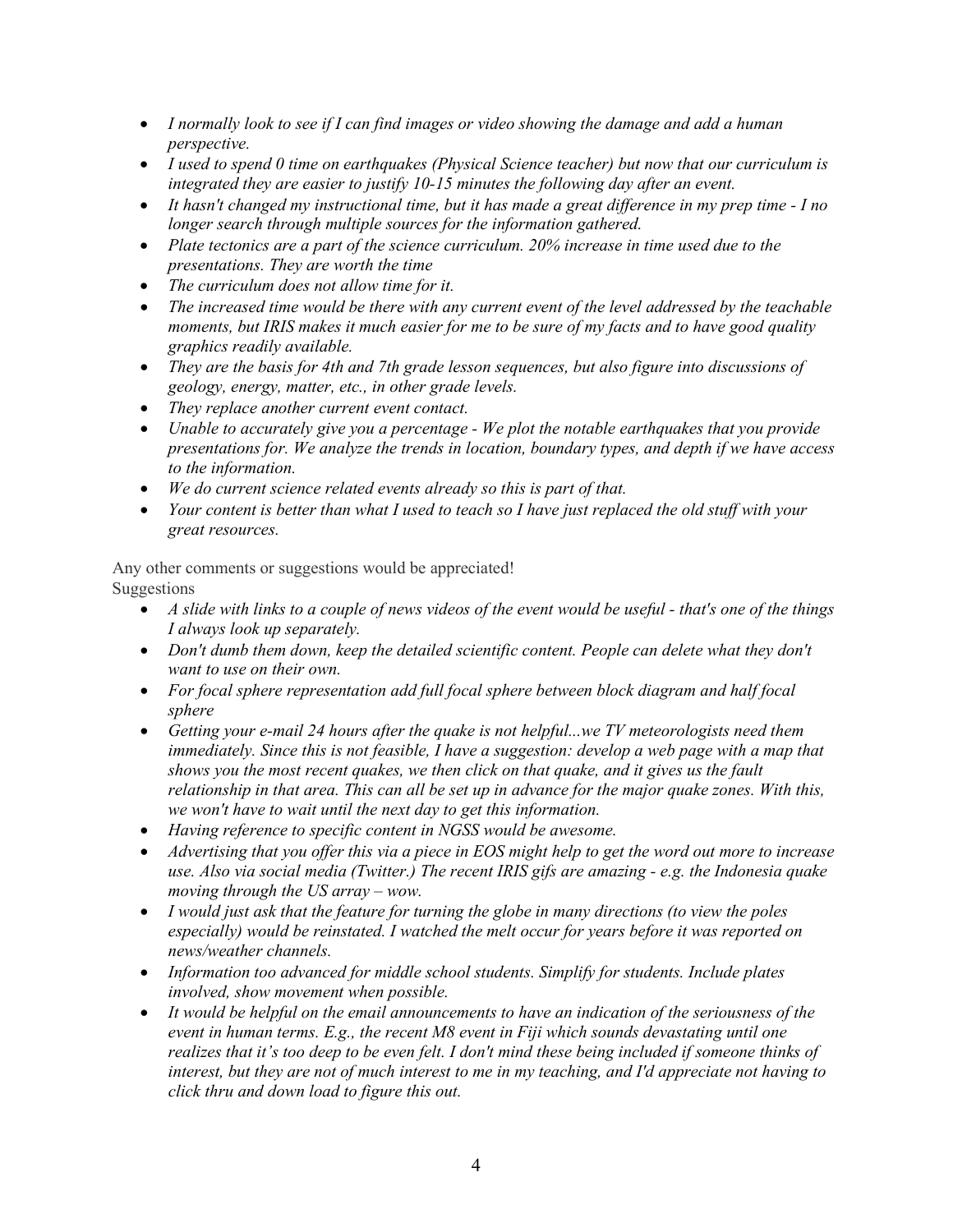- *I normally look to see if I can find images or video showing the damage and add a human perspective.*
- *I used to spend 0 time on earthquakes (Physical Science teacher) but now that our curriculum is integrated they are easier to justify 10-15 minutes the following day after an event.*
- *It hasn't changed my instructional time, but it has made a great difference in my prep time - I no longer search through multiple sources for the information gathered.*
- *Plate tectonics are a part of the science curriculum. 20% increase in time used due to the presentations. They are worth the time*
- *The curriculum does not allow time for it.*
- *The increased time would be there with any current event of the level addressed by the teachable moments, but IRIS makes it much easier for me to be sure of my facts and to have good quality graphics readily available.*
- *They are the basis for 4th and 7th grade lesson sequences, but also figure into discussions of geology, energy, matter, etc., in other grade levels.*
- *They replace another current event contact.*
- *Unable to accurately give you a percentage - We plot the notable earthquakes that you provide presentations for. We analyze the trends in location, boundary types, and depth if we have access to the information.*
- *We do current science related events already so this is part of that.*
- *Your content is better than what I used to teach so I have just replaced the old stuff with your great resources.*

Any other comments or suggestions would be appreciated! Suggestions

- *A slide with links to a couple of news videos of the event would be useful - that's one of the things I always look up separately.*
- *Don't dumb them down, keep the detailed scientific content. People can delete what they don't want to use on their own.*
- For focal sphere representation add full focal sphere between block diagram and half focal *sphere*
- *Getting your e-mail 24 hours after the quake is not helpful...we TV meteorologists need them immediately. Since this is not feasible, I have a suggestion: develop a web page with a map that shows you the most recent quakes, we then click on that quake, and it gives us the fault relationship in that area. This can all be set up in advance for the major quake zones. With this, we won't have to wait until the next day to get this information.*
- *Having reference to specific content in NGSS would be awesome.*
- *Advertising that you offer this via a piece in EOS might help to get the word out more to increase use. Also via social media (Twitter.) The recent IRIS gifs are amazing - e.g. the Indonesia quake moving through the US array – wow.*
- *I would just ask that the feature for turning the globe in many directions (to view the poles especially) would be reinstated. I watched the melt occur for years before it was reported on news/weather channels.*
- *Information too advanced for middle school students. Simplify for students. Include plates involved, show movement when possible.*
- *It would be helpful on the email announcements to have an indication of the seriousness of the event in human terms. E.g., the recent M8 event in Fiji which sounds devastating until one realizes that it's too deep to be even felt. I don't mind these being included if someone thinks of interest, but they are not of much interest to me in my teaching, and I'd appreciate not having to click thru and down load to figure this out.*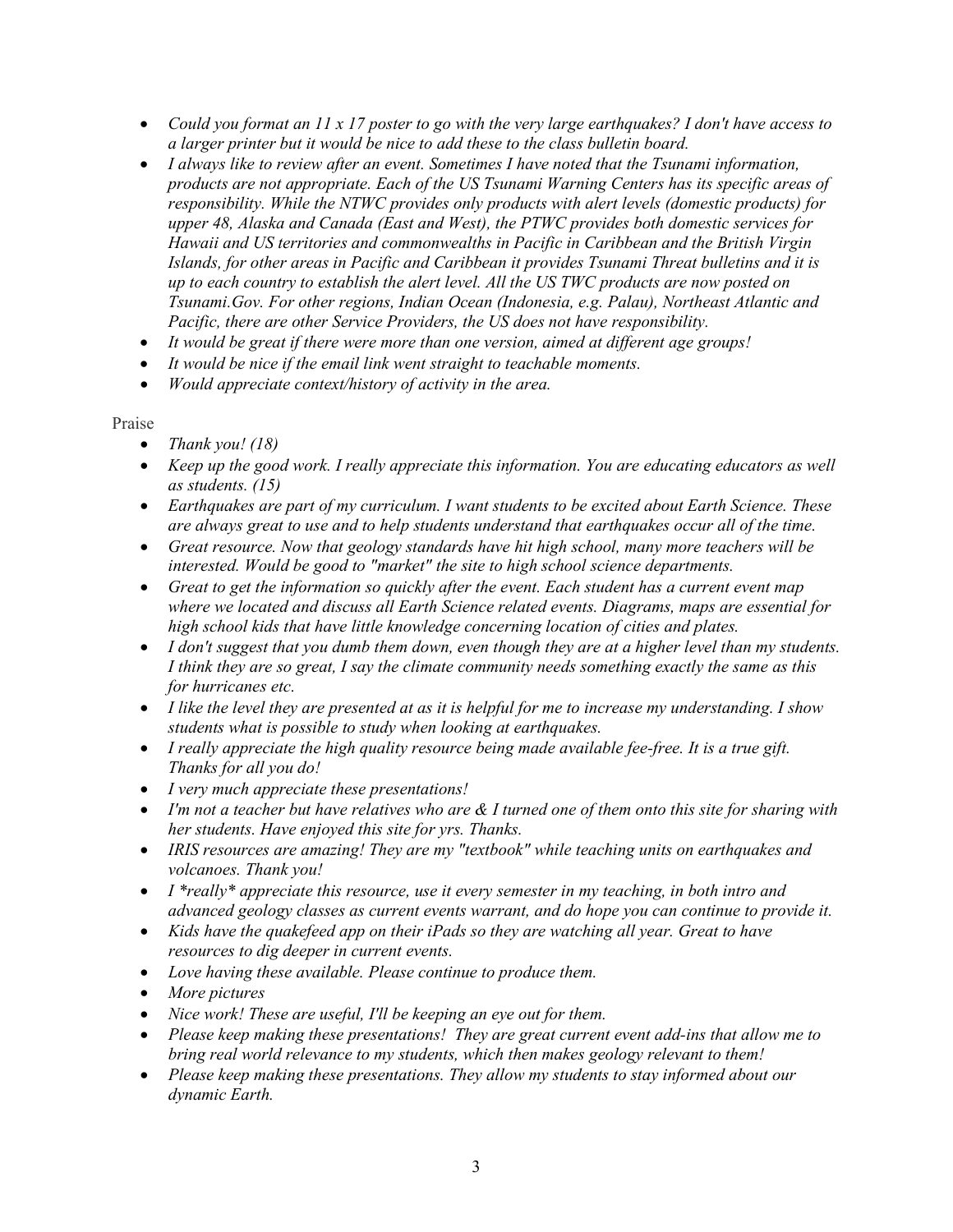- *Could you format an 11 x 17 poster to go with the very large earthquakes? I don't have access to a larger printer but it would be nice to add these to the class bulletin board.*
- *I always like to review after an event. Sometimes I have noted that the Tsunami information, products are not appropriate. Each of the US Tsunami Warning Centers has its specific areas of responsibility. While the NTWC provides only products with alert levels (domestic products) for upper 48, Alaska and Canada (East and West), the PTWC provides both domestic services for Hawaii and US territories and commonwealths in Pacific in Caribbean and the British Virgin Islands, for other areas in Pacific and Caribbean it provides Tsunami Threat bulletins and it is up to each country to establish the alert level. All the US TWC products are now posted on Tsunami.Gov. For other regions, Indian Ocean (Indonesia, e.g. Palau), Northeast Atlantic and Pacific, there are other Service Providers, the US does not have responsibility.*
- *It would be great if there were more than one version, aimed at different age groups!*
- *It would be nice if the email link went straight to teachable moments.*
- *Would appreciate context/history of activity in the area.*

## Praise

- *Thank you! (18)*
- *Keep up the good work. I really appreciate this information. You are educating educators as well as students. (15)*
- *Earthquakes are part of my curriculum. I want students to be excited about Earth Science. These are always great to use and to help students understand that earthquakes occur all of the time.*
- *Great resource. Now that geology standards have hit high school, many more teachers will be interested. Would be good to "market" the site to high school science departments.*
- *Great to get the information so quickly after the event. Each student has a current event map where we located and discuss all Earth Science related events. Diagrams, maps are essential for high school kids that have little knowledge concerning location of cities and plates.*
- *I don't suggest that you dumb them down, even though they are at a higher level than my students. I think they are so great, I say the climate community needs something exactly the same as this for hurricanes etc.*
- *I like the level they are presented at as it is helpful for me to increase my understanding. I show students what is possible to study when looking at earthquakes.*
- *I really appreciate the high quality resource being made available fee-free. It is a true gift. Thanks for all you do!*
- *I very much appreciate these presentations!*
- *I'm not a teacher but have relatives who are & I turned one of them onto this site for sharing with her students. Have enjoyed this site for yrs. Thanks.*
- *IRIS resources are amazing! They are my "textbook" while teaching units on earthquakes and volcanoes. Thank you!*
- *I \*really\* appreciate this resource, use it every semester in my teaching, in both intro and advanced geology classes as current events warrant, and do hope you can continue to provide it.*
- *Kids have the quakefeed app on their iPads so they are watching all year. Great to have resources to dig deeper in current events.*
- *Love having these available. Please continue to produce them.*
- *More pictures*
- *Nice work! These are useful, I'll be keeping an eye out for them.*
- *Please keep making these presentations! They are great current event add-ins that allow me to bring real world relevance to my students, which then makes geology relevant to them!*
- *Please keep making these presentations. They allow my students to stay informed about our dynamic Earth.*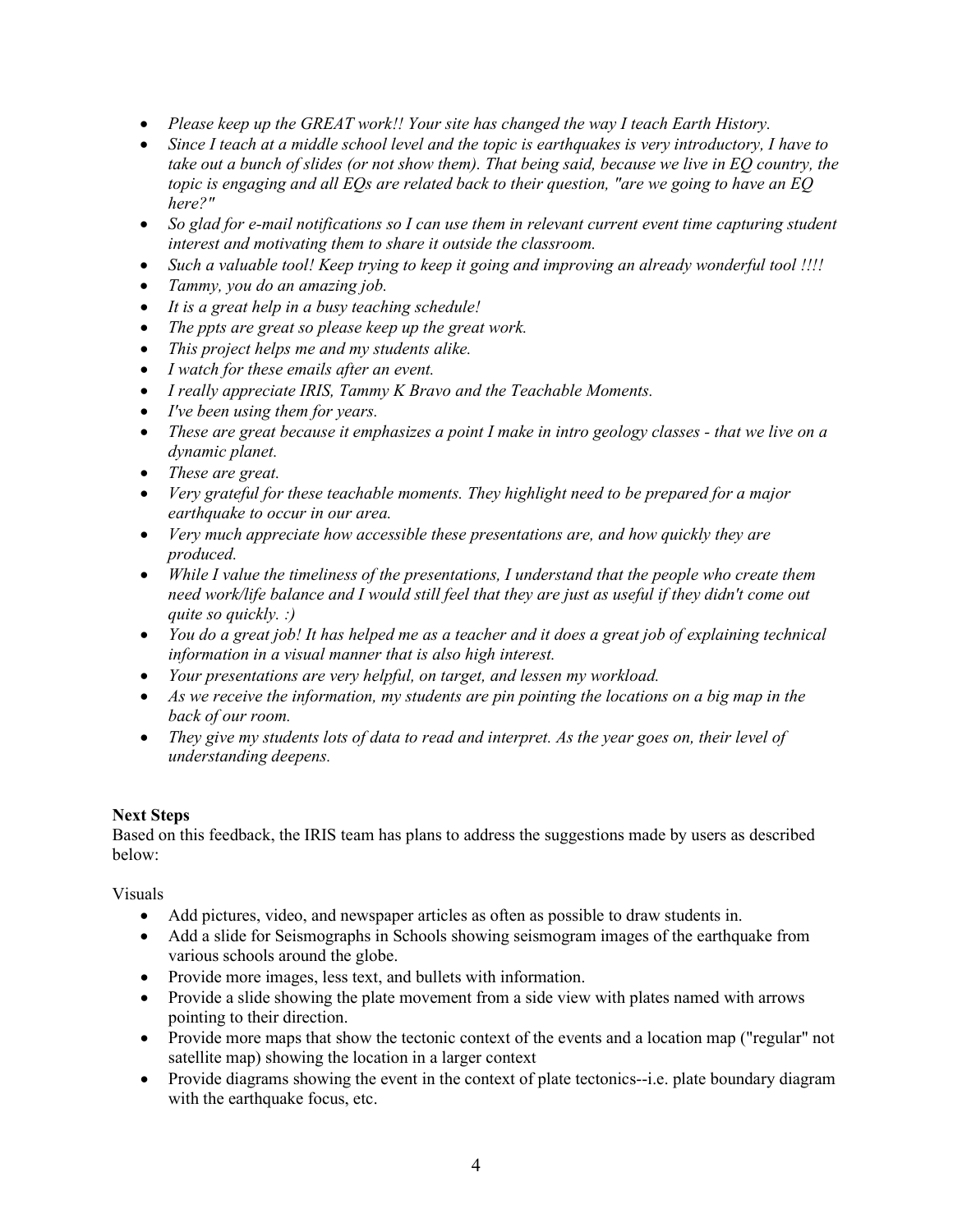- *Please keep up the GREAT work!! Your site has changed the way I teach Earth History.*
- *Since I teach at a middle school level and the topic is earthquakes is very introductory, I have to take out a bunch of slides (or not show them). That being said, because we live in EQ country, the topic is engaging and all EQs are related back to their question, "are we going to have an EQ here?"*
- *So glad for e-mail notifications so I can use them in relevant current event time capturing student interest and motivating them to share it outside the classroom.*
- *Such a valuable tool! Keep trying to keep it going and improving an already wonderful tool !!!!*
- *Tammy, you do an amazing job.*
- *It is a great help in a busy teaching schedule!*
- *The ppts are great so please keep up the great work.*
- *This project helps me and my students alike.*
- *I watch for these emails after an event.*
- *I really appreciate IRIS, Tammy K Bravo and the Teachable Moments.*
- *I've been using them for years.*
- *These are great because it emphasizes a point I make in intro geology classes - that we live on a dynamic planet.*
- *These are great.*
- *Very grateful for these teachable moments. They highlight need to be prepared for a major earthquake to occur in our area.*
- *Very much appreciate how accessible these presentations are, and how quickly they are produced.*
- *While I value the timeliness of the presentations, I understand that the people who create them need work/life balance and I would still feel that they are just as useful if they didn't come out quite so quickly. :)*
- *You do a great job! It has helped me as a teacher and it does a great job of explaining technical information in a visual manner that is also high interest.*
- *Your presentations are very helpful, on target, and lessen my workload.*
- *As we receive the information, my students are pin pointing the locations on a big map in the back of our room.*
- *They give my students lots of data to read and interpret. As the year goes on, their level of understanding deepens.*

# **Next Steps**

Based on this feedback, the IRIS team has plans to address the suggestions made by users as described below:

Visuals

- Add pictures, video, and newspaper articles as often as possible to draw students in.
- Add a slide for Seismographs in Schools showing seismogram images of the earthquake from various schools around the globe.
- Provide more images, less text, and bullets with information.
- Provide a slide showing the plate movement from a side view with plates named with arrows pointing to their direction.
- Provide more maps that show the tectonic context of the events and a location map ("regular" not satellite map) showing the location in a larger context
- Provide diagrams showing the event in the context of plate tectonics--i.e. plate boundary diagram with the earthquake focus, etc.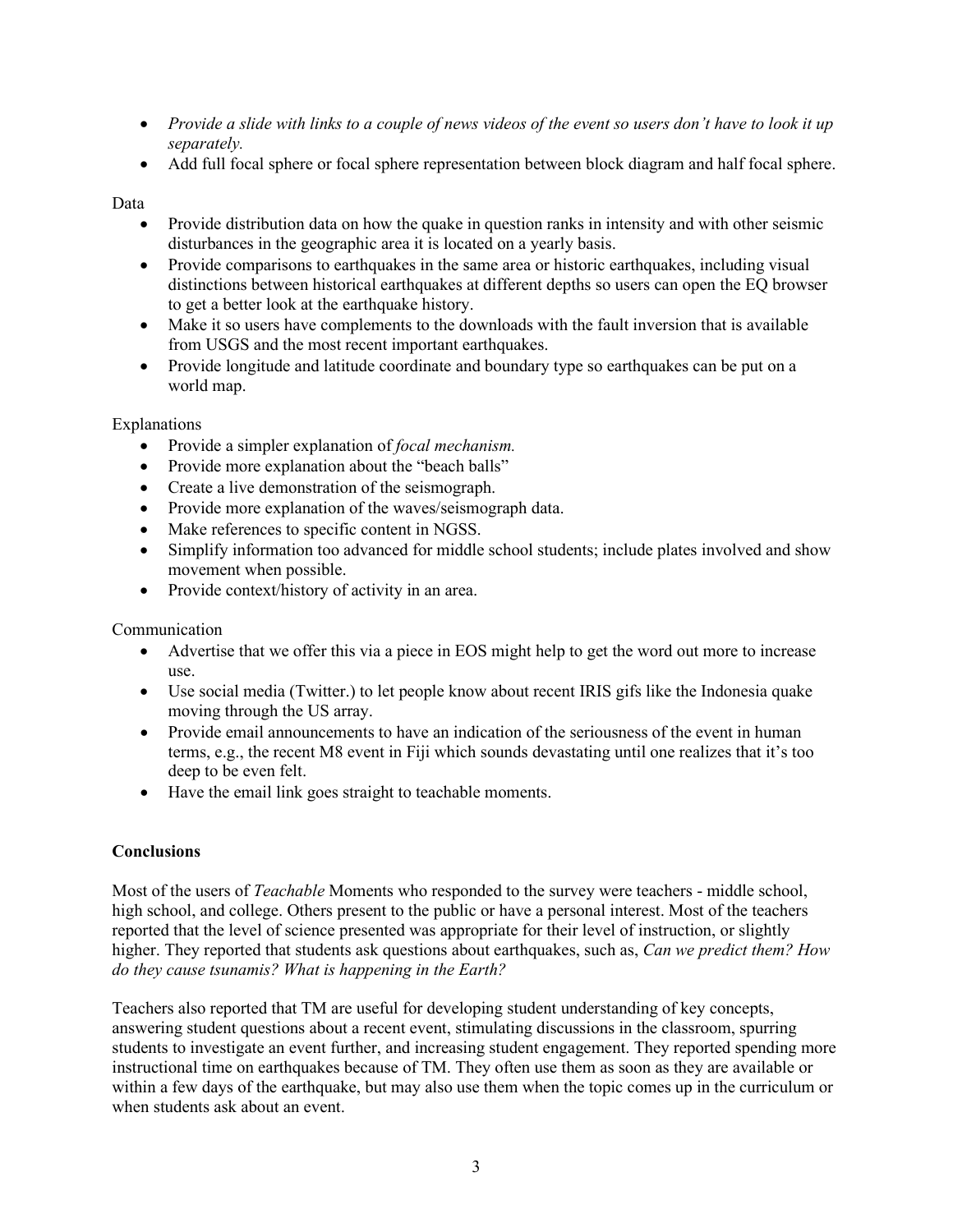- *Provide a slide with links to a couple of news videos of the event so users don't have to look it up separately.*
- Add full focal sphere or focal sphere representation between block diagram and half focal sphere.

## Data

- Provide distribution data on how the quake in question ranks in intensity and with other seismic disturbances in the geographic area it is located on a yearly basis.
- Provide comparisons to earthquakes in the same area or historic earthquakes, including visual distinctions between historical earthquakes at different depths so users can open the EQ browser to get a better look at the earthquake history.
- Make it so users have complements to the downloads with the fault inversion that is available from USGS and the most recent important earthquakes.
- Provide longitude and latitude coordinate and boundary type so earthquakes can be put on a world map.

Explanations

- Provide a simpler explanation of *focal mechanism.*
- Provide more explanation about the "beach balls"
- Create a live demonstration of the seismograph.
- Provide more explanation of the waves/seismograph data.
- Make references to specific content in NGSS.
- Simplify information too advanced for middle school students; include plates involved and show movement when possible.
- Provide context/history of activity in an area.

Communication

- Advertise that we offer this via a piece in EOS might help to get the word out more to increase use.
- Use social media (Twitter.) to let people know about recent IRIS gifs like the Indonesia quake moving through the US array.
- Provide email announcements to have an indication of the seriousness of the event in human terms, e.g., the recent M8 event in Fiji which sounds devastating until one realizes that it's too deep to be even felt.
- Have the email link goes straight to teachable moments.

# **Conclusions**

Most of the users of *Teachable* Moments who responded to the survey were teachers - middle school, high school, and college. Others present to the public or have a personal interest. Most of the teachers reported that the level of science presented was appropriate for their level of instruction, or slightly higher. They reported that students ask questions about earthquakes, such as, *Can we predict them? How do they cause tsunamis? What is happening in the Earth?*

Teachers also reported that TM are useful for developing student understanding of key concepts, answering student questions about a recent event, stimulating discussions in the classroom, spurring students to investigate an event further, and increasing student engagement. They reported spending more instructional time on earthquakes because of TM. They often use them as soon as they are available or within a few days of the earthquake, but may also use them when the topic comes up in the curriculum or when students ask about an event.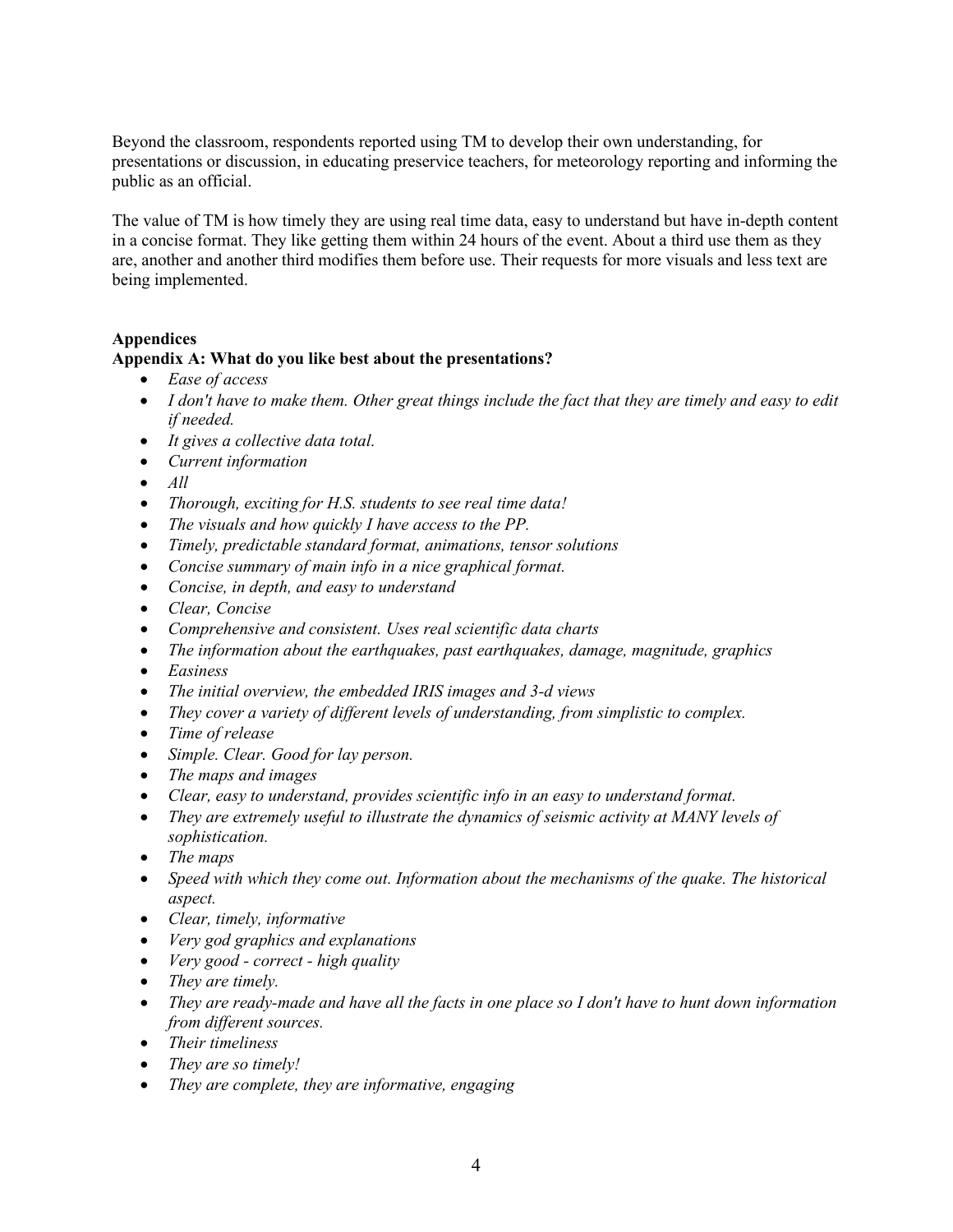Beyond the classroom, respondents reported using TM to develop their own understanding, for presentations or discussion, in educating preservice teachers, for meteorology reporting and informing the public as an official.

The value of TM is how timely they are using real time data, easy to understand but have in-depth content in a concise format. They like getting them within 24 hours of the event. About a third use them as they are, another and another third modifies them before use. Their requests for more visuals and less text are being implemented.

### **Appendices**

### **Appendix A: What do you like best about the presentations?**

- *Ease of access*
- *I don't have to make them. Other great things include the fact that they are timely and easy to edit if needed.*
- *It gives a collective data total.*
- *Current information*
- *All*
- *Thorough, exciting for H.S. students to see real time data!*
- *The visuals and how quickly I have access to the PP.*
- *Timely, predictable standard format, animations, tensor solutions*
- *Concise summary of main info in a nice graphical format.*
- *Concise, in depth, and easy to understand*
- *Clear, Concise*
- *Comprehensive and consistent. Uses real scientific data charts*
- *The information about the earthquakes, past earthquakes, damage, magnitude, graphics*
- *Easiness*
- *The initial overview, the embedded IRIS images and 3-d views*
- *They cover a variety of different levels of understanding, from simplistic to complex.*
- *Time of release*
- *Simple. Clear. Good for lay person.*
- *The maps and images*
- *Clear, easy to understand, provides scientific info in an easy to understand format.*
- *They are extremely useful to illustrate the dynamics of seismic activity at MANY levels of sophistication.*
- *The maps*
- *Speed with which they come out. Information about the mechanisms of the quake. The historical aspect.*
- *Clear, timely, informative*
- *Very god graphics and explanations*
- *Very good - correct - high quality*
- *They are timely.*
- *They are ready-made and have all the facts in one place so I don't have to hunt down information from different sources.*
- *Their timeliness*
- *They are so timely!*
- *They are complete, they are informative, engaging*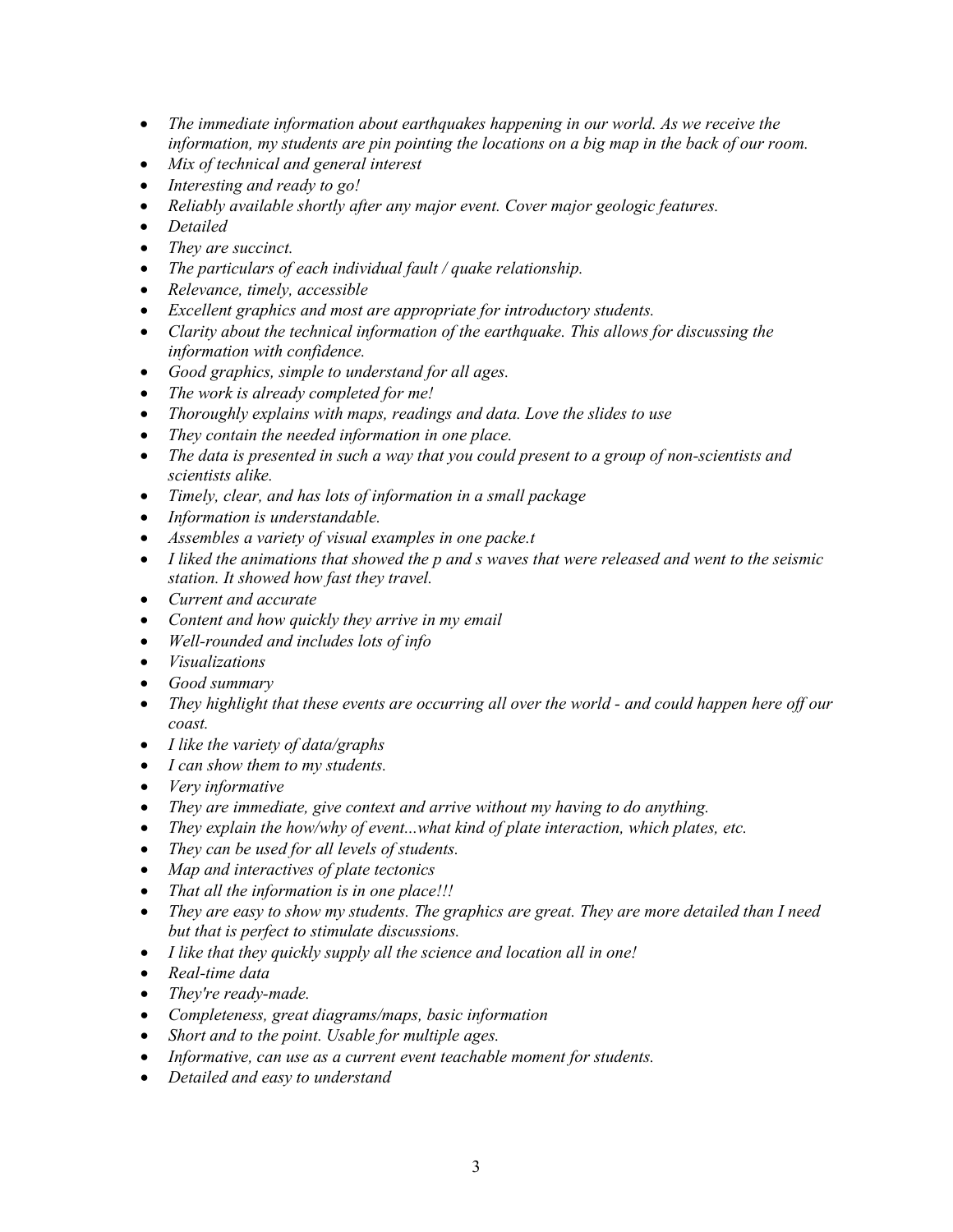- *The immediate information about earthquakes happening in our world. As we receive the information, my students are pin pointing the locations on a big map in the back of our room.*
- *Mix of technical and general interest*
- *Interesting and ready to go!*
- *Reliably available shortly after any major event. Cover major geologic features.*
- *Detailed*
- *They are succinct.*
- *The particulars of each individual fault / quake relationship.*
- *Relevance, timely, accessible*
- *Excellent graphics and most are appropriate for introductory students.*
- *Clarity about the technical information of the earthquake. This allows for discussing the information with confidence.*
- *Good graphics, simple to understand for all ages.*
- *The work is already completed for me!*
- *Thoroughly explains with maps, readings and data. Love the slides to use*
- *They contain the needed information in one place.*
- *The data is presented in such a way that you could present to a group of non-scientists and scientists alike.*
- *Timely, clear, and has lots of information in a small package*
- *Information is understandable.*
- *Assembles a variety of visual examples in one packe.t*
- *I liked the animations that showed the p and s waves that were released and went to the seismic station. It showed how fast they travel.*
- *Current and accurate*
- *Content and how quickly they arrive in my email*
- *Well-rounded and includes lots of info*
- *Visualizations*
- *Good summary*
- *They highlight that these events are occurring all over the world - and could happen here off our coast.*
- *I like the variety of data/graphs*
- *I can show them to my students.*
- *Very informative*
- *They are immediate, give context and arrive without my having to do anything.*
- *They explain the how/why of event...what kind of plate interaction, which plates, etc.*
- *They can be used for all levels of students.*
- *Map and interactives of plate tectonics*
- *That all the information is in one place!!!*
- *They are easy to show my students. The graphics are great. They are more detailed than I need but that is perfect to stimulate discussions.*
- *I like that they quickly supply all the science and location all in one!*
- *Real-time data*
- *They're ready-made.*
- *Completeness, great diagrams/maps, basic information*
- *Short and to the point. Usable for multiple ages.*
- *Informative, can use as a current event teachable moment for students.*
- *Detailed and easy to understand*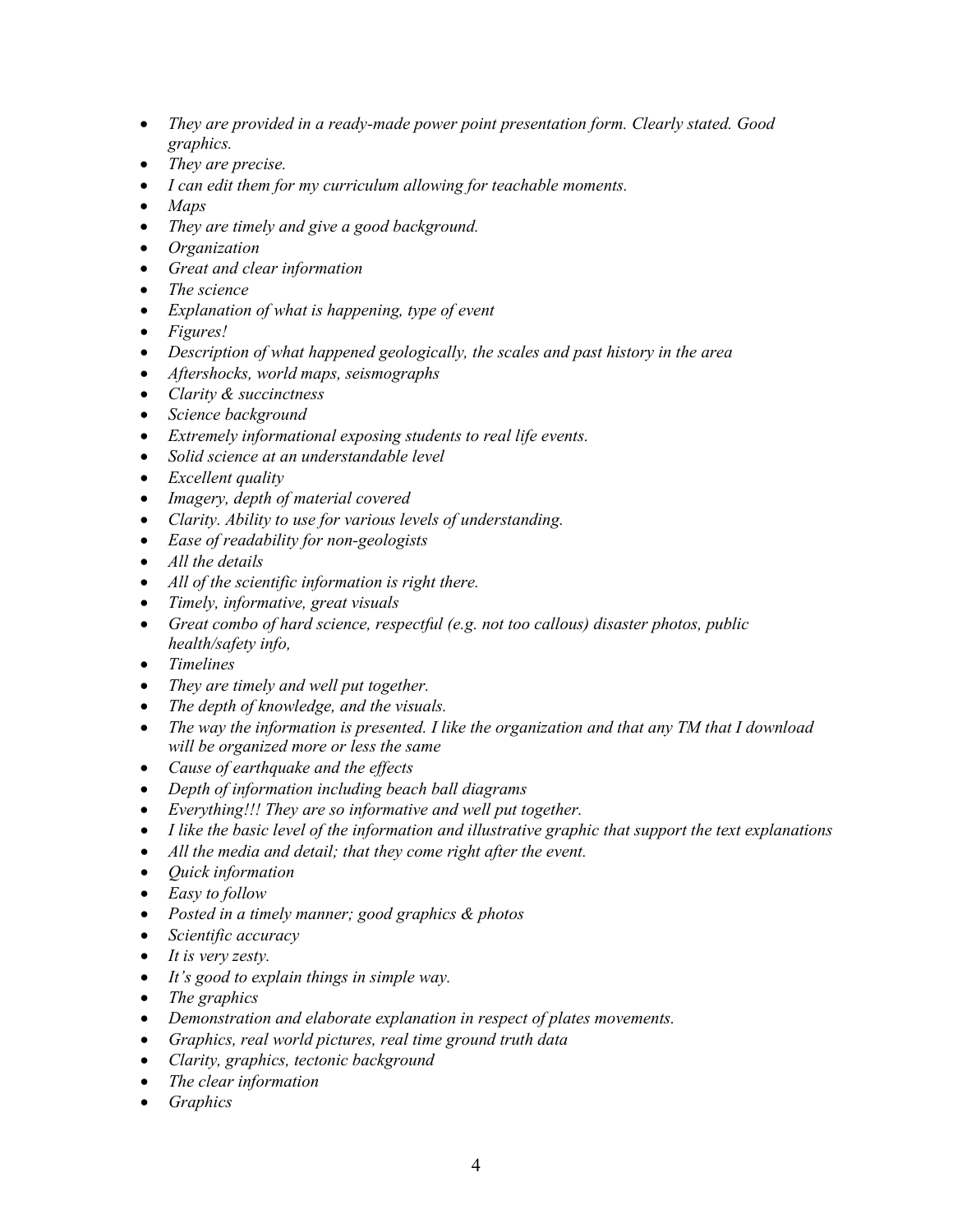- *They are provided in a ready-made power point presentation form. Clearly stated. Good graphics.*
- *They are precise.*
- *I can edit them for my curriculum allowing for teachable moments.*
- *Maps*
- *They are timely and give a good background.*
- *Organization*
- *Great and clear information*
- *The science*
- *Explanation of what is happening, type of event*
- *Figures!*
- *Description of what happened geologically, the scales and past history in the area*
- *Aftershocks, world maps, seismographs*
- *Clarity & succinctness*
- *Science background*
- *Extremely informational exposing students to real life events.*
- *Solid science at an understandable level*
- *Excellent quality*
- *Imagery, depth of material covered*
- *Clarity. Ability to use for various levels of understanding.*
- *Ease of readability for non-geologists*
- *All the details*
- *All of the scientific information is right there.*
- *Timely, informative, great visuals*
- *Great combo of hard science, respectful (e.g. not too callous) disaster photos, public health/safety info,*
- *Timelines*
- *They are timely and well put together.*
- *The depth of knowledge, and the visuals.*
- *The way the information is presented. I like the organization and that any TM that I download will be organized more or less the same*
- *Cause of earthquake and the effects*
- *Depth of information including beach ball diagrams*
- *Everything!!! They are so informative and well put together.*
- *I like the basic level of the information and illustrative graphic that support the text explanations*
- *All the media and detail; that they come right after the event.*
- *Quick information*
- *Easy to follow*
- *Posted in a timely manner; good graphics & photos*
- *Scientific accuracy*
- *It is very zesty.*
- *It's good to explain things in simple way.*
- *The graphics*
- *Demonstration and elaborate explanation in respect of plates movements.*
- *Graphics, real world pictures, real time ground truth data*
- *Clarity, graphics, tectonic background*
- *The clear information*
- *Graphics*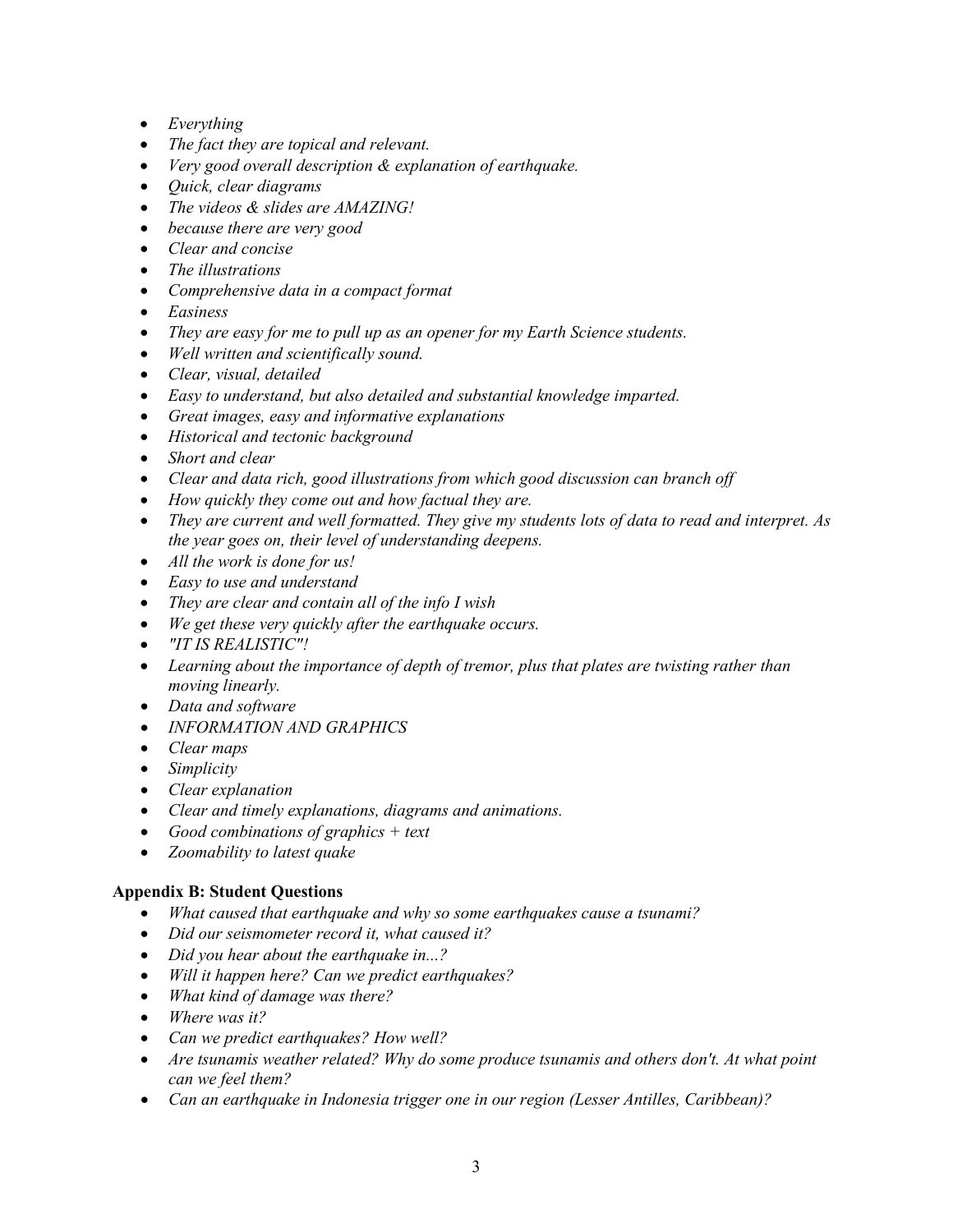- *Everything*
- *The fact they are topical and relevant.*
- *Very good overall description & explanation of earthquake.*
- *Quick, clear diagrams*
- *The videos & slides are AMAZING!*
- *because there are very good*
- *Clear and concise*
- *The illustrations*
- *Comprehensive data in a compact format*
- *Easiness*
- *They are easy for me to pull up as an opener for my Earth Science students.*
- *Well written and scientifically sound.*
- *Clear, visual, detailed*
- *Easy to understand, but also detailed and substantial knowledge imparted.*
- *Great images, easy and informative explanations*
- *Historical and tectonic background*
- *Short and clear*
- *Clear and data rich, good illustrations from which good discussion can branch off*
- *How quickly they come out and how factual they are.*
- *They are current and well formatted. They give my students lots of data to read and interpret. As the year goes on, their level of understanding deepens.*
- *All the work is done for us!*
- *Easy to use and understand*
- *They are clear and contain all of the info I wish*
- *We get these very quickly after the earthquake occurs.*
- *"IT IS REALISTIC"!*
- *Learning about the importance of depth of tremor, plus that plates are twisting rather than moving linearly.*
- *Data and software*
- *INFORMATION AND GRAPHICS*
- *Clear maps*
- *Simplicity*
- *Clear explanation*
- *Clear and timely explanations, diagrams and animations.*
- *Good combinations of graphics + text*
- *Zoomability to latest quake*

# **Appendix B: Student Questions**

- *What caused that earthquake and why so some earthquakes cause a tsunami?*
- *Did our seismometer record it, what caused it?*
- *Did you hear about the earthquake in...?*
- *Will it happen here? Can we predict earthquakes?*
- *What kind of damage was there?*
- *Where was it?*
- *Can we predict earthquakes? How well?*
- *Are tsunamis weather related? Why do some produce tsunamis and others don't. At what point can we feel them?*
- *Can an earthquake in Indonesia trigger one in our region (Lesser Antilles, Caribbean)?*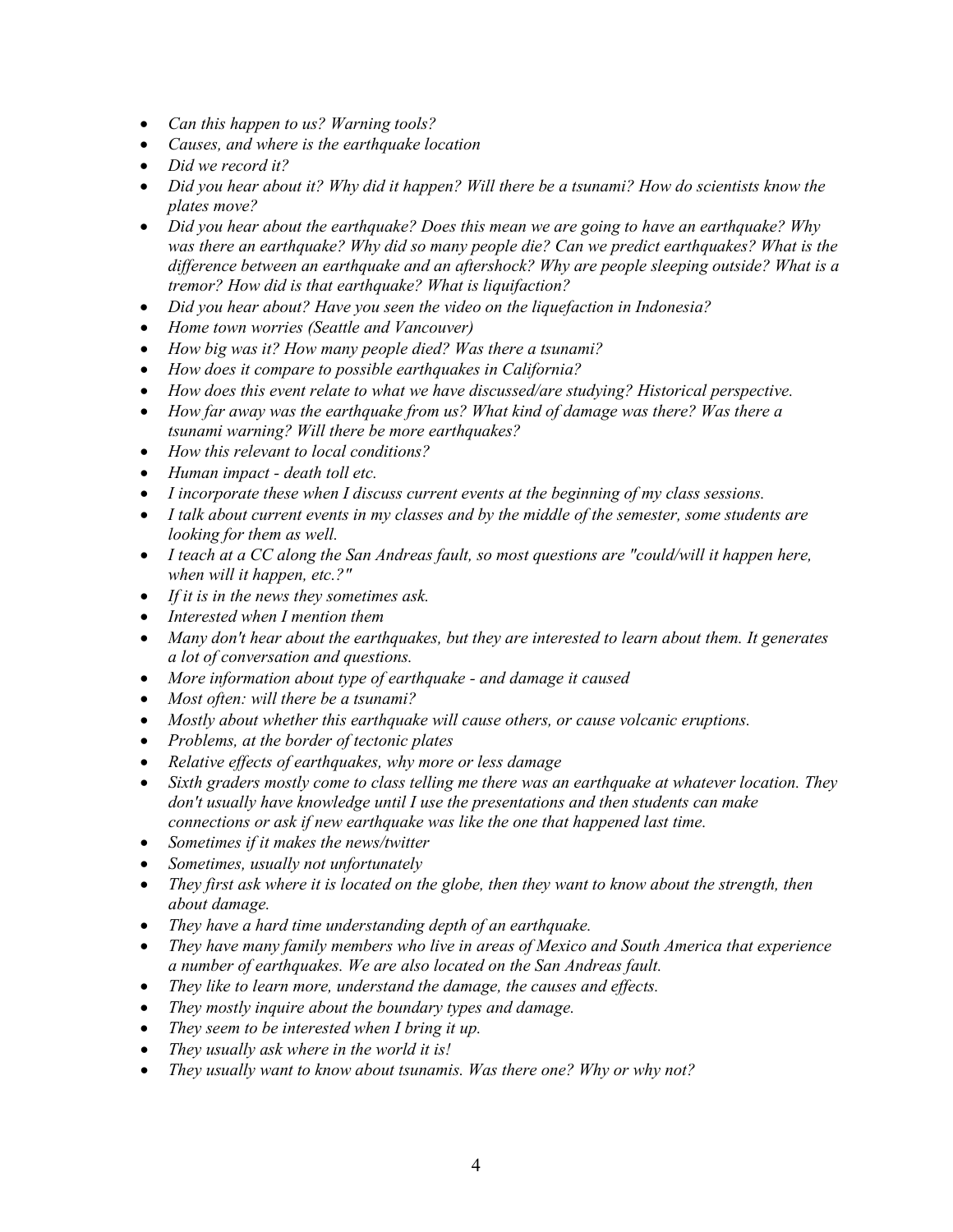- *Can this happen to us? Warning tools?*
- *Causes, and where is the earthquake location*
- *Did we record it?*
- *Did you hear about it? Why did it happen? Will there be a tsunami? How do scientists know the plates move?*
- *Did you hear about the earthquake? Does this mean we are going to have an earthquake? Why was there an earthquake? Why did so many people die? Can we predict earthquakes? What is the difference between an earthquake and an aftershock? Why are people sleeping outside? What is a tremor? How did is that earthquake? What is liquifaction?*
- *Did you hear about? Have you seen the video on the liquefaction in Indonesia?*
- *Home town worries (Seattle and Vancouver)*
- *How big was it? How many people died? Was there a tsunami?*
- *How does it compare to possible earthquakes in California?*
- *How does this event relate to what we have discussed/are studying? Historical perspective.*
- *How far away was the earthquake from us? What kind of damage was there? Was there a tsunami warning? Will there be more earthquakes?*
- *How this relevant to local conditions?*
- *Human impact - death toll etc.*
- *I incorporate these when I discuss current events at the beginning of my class sessions.*
- *I talk about current events in my classes and by the middle of the semester, some students are looking for them as well.*
- *I teach at a CC along the San Andreas fault, so most questions are "could/will it happen here, when will it happen, etc.?"*
- *If it is in the news they sometimes ask.*
- *Interested when I mention them*
- *Many don't hear about the earthquakes, but they are interested to learn about them. It generates a lot of conversation and questions.*
- *More information about type of earthquake - and damage it caused*
- *Most often: will there be a tsunami?*
- *Mostly about whether this earthquake will cause others, or cause volcanic eruptions.*
- *Problems, at the border of tectonic plates*
- *Relative effects of earthquakes, why more or less damage*
- *Sixth graders mostly come to class telling me there was an earthquake at whatever location. They don't usually have knowledge until I use the presentations and then students can make connections or ask if new earthquake was like the one that happened last time.*
- *Sometimes if it makes the news/twitter*
- *Sometimes, usually not unfortunately*
- *They first ask where it is located on the globe, then they want to know about the strength, then about damage.*
- *They have a hard time understanding depth of an earthquake.*
- *They have many family members who live in areas of Mexico and South America that experience a number of earthquakes. We are also located on the San Andreas fault.*
- *They like to learn more, understand the damage, the causes and effects.*
- *They mostly inquire about the boundary types and damage.*
- *They seem to be interested when I bring it up.*
- *They usually ask where in the world it is!*
- *They usually want to know about tsunamis. Was there one? Why or why not?*